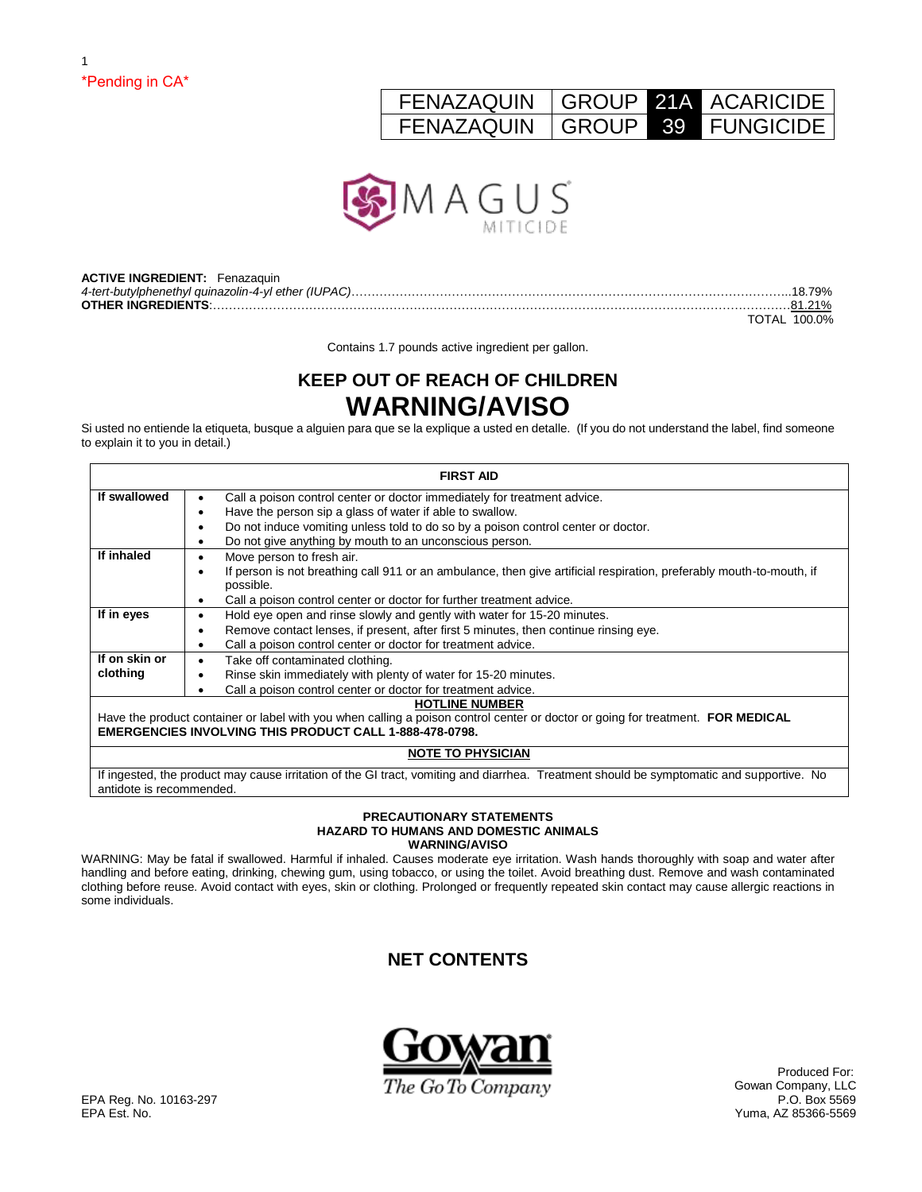# \*Pending in CA\*

1

# FENAZAQUIN GROUP 21A ACARICIDE FENAZAQUIN GROUP 39 FUNGICIDE



| <b>ACTIVE INGREDIENT: Fenazaguin</b> |              |
|--------------------------------------|--------------|
|                                      |              |
|                                      |              |
|                                      | TOTAL 100.0% |

Contains 1.7 pounds active ingredient per gallon.

# **KEEP OUT OF REACH OF CHILDREN WARNING/AVISO**

Si usted no entiende la etiqueta, busque a alguien para que se la explique a usted en detalle. (If you do not understand the label, find someone to explain it to you in detail.)

|                          | <b>FIRST AID</b>                                                                                                                         |
|--------------------------|------------------------------------------------------------------------------------------------------------------------------------------|
| If swallowed             | Call a poison control center or doctor immediately for treatment advice.                                                                 |
|                          | Have the person sip a glass of water if able to swallow.<br>٠                                                                            |
|                          | Do not induce vomiting unless told to do so by a poison control center or doctor.<br>٠                                                   |
|                          | Do not give anything by mouth to an unconscious person.                                                                                  |
| If inhaled               | Move person to fresh air.                                                                                                                |
|                          | If person is not breathing call 911 or an ambulance, then give artificial respiration, preferably mouth-to-mouth, if                     |
|                          | possible.                                                                                                                                |
|                          | Call a poison control center or doctor for further treatment advice.<br>٠                                                                |
| If in eyes               | Hold eye open and rinse slowly and gently with water for 15-20 minutes.<br>٠                                                             |
|                          | Remove contact lenses, if present, after first 5 minutes, then continue rinsing eye.                                                     |
|                          | Call a poison control center or doctor for treatment advice.                                                                             |
| If on skin or            | Take off contaminated clothing.<br>٠                                                                                                     |
| clothing                 | Rinse skin immediately with plenty of water for 15-20 minutes.                                                                           |
|                          | Call a poison control center or doctor for treatment advice.                                                                             |
|                          | <b>HOTLINE NUMBER</b>                                                                                                                    |
|                          | Have the product container or label with you when calling a poison control center or doctor or going for treatment. FOR MEDICAL          |
|                          | <b>EMERGENCIES INVOLVING THIS PRODUCT CALL 1-888-478-0798.</b>                                                                           |
|                          | <b>NOTE TO PHYSICIAN</b>                                                                                                                 |
| antidote is recommended. | If ingested, the product may cause irritation of the GI tract, vomiting and diarrhea. Treatment should be symptomatic and supportive. No |

#### **PRECAUTIONARY STATEMENTS HAZARD TO HUMANS AND DOMESTIC ANIMALS WARNING/AVISO**

WARNING: May be fatal if swallowed. Harmful if inhaled. Causes moderate eye irritation. Wash hands thoroughly with soap and water after handling and before eating, drinking, chewing gum, using tobacco, or using the toilet. Avoid breathing dust. Remove and wash contaminated clothing before reuse. Avoid contact with eyes, skin or clothing. Prolonged or frequently repeated skin contact may cause allergic reactions in some individuals.

# **NET CONTENTS**



Gowan Company, LLC<br>P.O. Box 5569 Yuma, AZ 85366-5569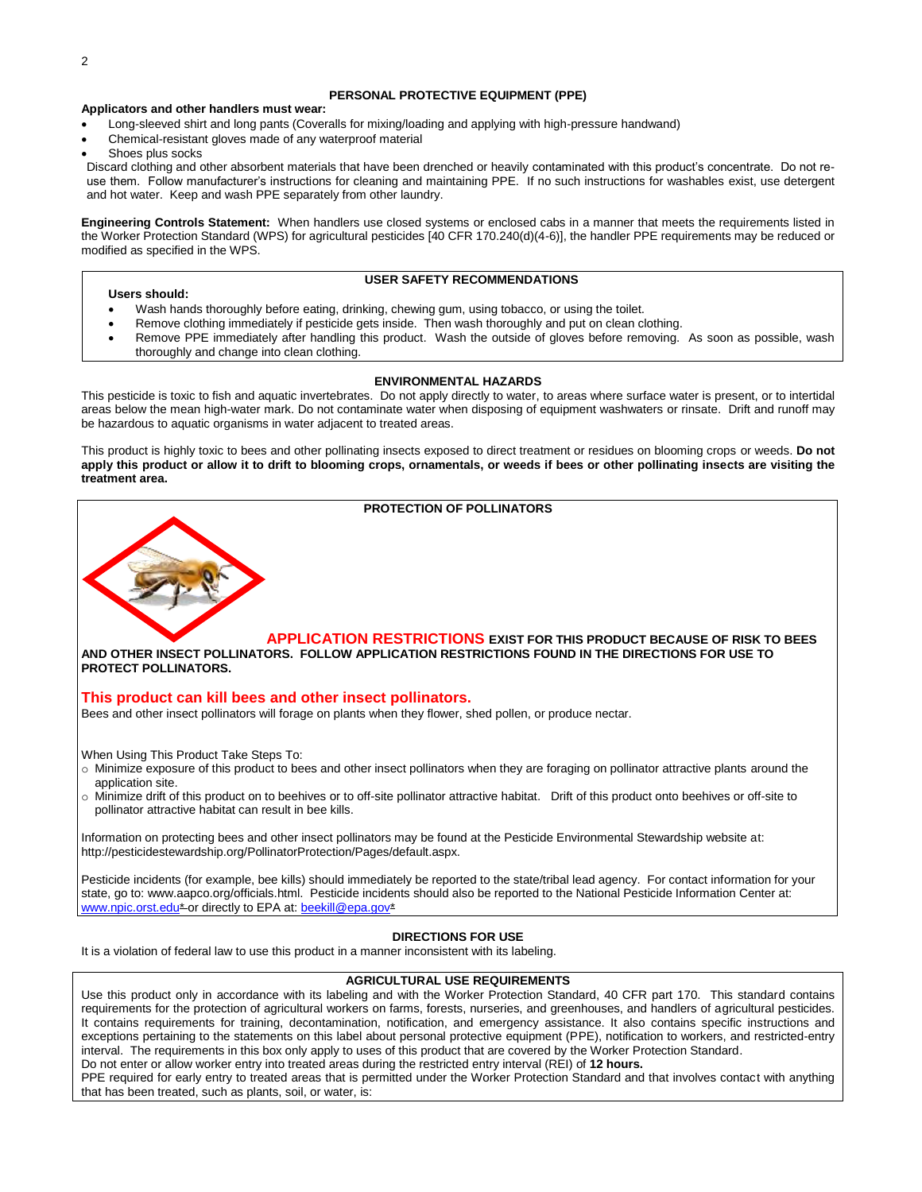#### **PERSONAL PROTECTIVE EQUIPMENT (PPE)**

#### **Applicators and other handlers must wear:**

- Long-sleeved shirt and long pants (Coveralls for mixing/loading and applying with high-pressure handwand)
- Chemical-resistant gloves made of any waterproof material
- Shoes plus socks

Discard clothing and other absorbent materials that have been drenched or heavily contaminated with this product's concentrate. Do not reuse them. Follow manufacturer's instructions for cleaning and maintaining PPE. If no such instructions for washables exist, use detergent and hot water. Keep and wash PPE separately from other laundry.

**Engineering Controls Statement:** When handlers use closed systems or enclosed cabs in a manner that meets the requirements listed in the Worker Protection Standard (WPS) for agricultural pesticides [40 CFR 170.240(d)(4-6)], the handler PPE requirements may be reduced or modified as specified in the WPS.

#### **Users should:**

#### **USER SAFETY RECOMMENDATIONS**

- Wash hands thoroughly before eating, drinking, chewing gum, using tobacco, or using the toilet.
- Remove clothing immediately if pesticide gets inside. Then wash thoroughly and put on clean clothing.
- Remove PPE immediately after handling this product. Wash the outside of gloves before removing. As soon as possible, wash thoroughly and change into clean clothing.

#### **ENVIRONMENTAL HAZARDS**

This pesticide is toxic to fish and aquatic invertebrates. Do not apply directly to water, to areas where surface water is present, or to intertidal areas below the mean high-water mark. Do not contaminate water when disposing of equipment washwaters or rinsate. Drift and runoff may be hazardous to aquatic organisms in water adjacent to treated areas.

This product is highly toxic to bees and other pollinating insects exposed to direct treatment or residues on blooming crops or weeds. **Do not apply this product or allow it to drift to blooming crops, ornamentals, or weeds if bees or other pollinating insects are visiting the treatment area.**

# **PROTECTION OF POLLINATORS APPLICATION RESTRICTIONS EXIST FOR THIS PRODUCT BECAUSE OF RISK TO BEES AND OTHER INSECT POLLINATORS. FOLLOW APPLICATION RESTRICTIONS FOUND IN THE DIRECTIONS FOR USE TO PROTECT POLLINATORS.**

#### **This product can kill bees and other insect pollinators.**

Bees and other insect pollinators will forage on plants when they flower, shed pollen, or produce nectar.

When Using This Product Take Steps To:

- o Minimize exposure of this product to bees and other insect pollinators when they are foraging on pollinator attractive plants around the application site.
- o Minimize drift of this product on to beehives or to off-site pollinator attractive habitat. Drift of this product onto beehives or off-site to pollinator attractive habitat can result in bee kills.

Information on protecting bees and other insect pollinators may be found at the Pesticide Environmental Stewardship website at: http://pesticidestewardship.org/PollinatorProtection/Pages/default.aspx.

Pesticide incidents (for example, bee kills) should immediately be reported to the state/tribal lead agency. For contact information for your state, go to: www.aapco.org/officials.html. Pesticide incidents should also be reported to the National Pesticide Information Center at: [www.npic.orst.edu\\*](http://www.npic.orst.edu/) or directly to EPA at: [beekill@epa.gov\\*](mailto:beekill@epa.gov)

#### **DIRECTIONS FOR USE**

It is a violation of federal law to use this product in a manner inconsistent with its labeling.

#### **AGRICULTURAL USE REQUIREMENTS**

Use this product only in accordance with its labeling and with the Worker Protection Standard, 40 CFR part 170. This standard contains requirements for the protection of agricultural workers on farms, forests, nurseries, and greenhouses, and handlers of agricultural pesticides. It contains requirements for training, decontamination, notification, and emergency assistance. It also contains specific instructions and exceptions pertaining to the statements on this label about personal protective equipment (PPE), notification to workers, and restricted-entry interval. The requirements in this box only apply to uses of this product that are covered by the Worker Protection Standard. Do not enter or allow worker entry into treated areas during the restricted entry interval (REI) of **12 hours.**

PPE required for early entry to treated areas that is permitted under the Worker Protection Standard and that involves contact with anything that has been treated, such as plants, soil, or water, is: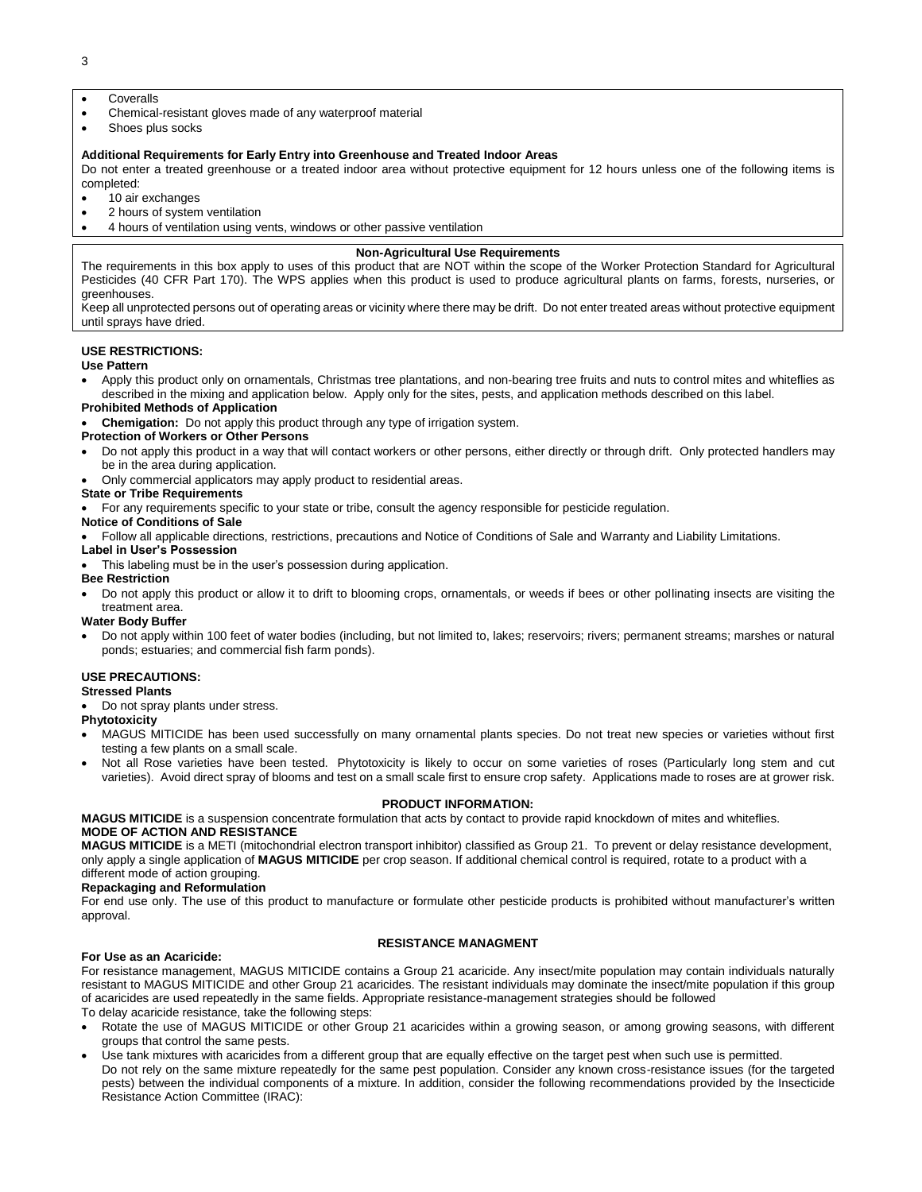3

- Coveralls
- Chemical-resistant gloves made of any waterproof material
- Shoes plus socks

#### **Additional Requirements for Early Entry into Greenhouse and Treated Indoor Areas**

Do not enter a treated greenhouse or a treated indoor area without protective equipment for 12 hours unless one of the following items is completed:

- 10 air exchanges
- 2 hours of system ventilation
- 4 hours of ventilation using vents, windows or other passive ventilation

#### **Non-Agricultural Use Requirements**

The requirements in this box apply to uses of this product that are NOT within the scope of the Worker Protection Standard for Agricultural Pesticides (40 CFR Part 170). The WPS applies when this product is used to produce agricultural plants on farms, forests, nurseries, or greenhouses.

Keep all unprotected persons out of operating areas or vicinity where there may be drift. Do not enter treated areas without protective equipment until sprays have dried.

#### **USE RESTRICTIONS:**

#### **Use Pattern**

 Apply this product only on ornamentals, Christmas tree plantations, and non-bearing tree fruits and nuts to control mites and whiteflies as described in the mixing and application below. Apply only for the sites, pests, and application methods described on this label.

# **Prohibited Methods of Application**

**Chemigation:** Do not apply this product through any type of irrigation system.

## **Protection of Workers or Other Persons**

- Do not apply this product in a way that will contact workers or other persons, either directly or through drift. Only protected handlers may be in the area during application.
- Only commercial applicators may apply product to residential areas.

#### **State or Tribe Requirements**

For any requirements specific to your state or tribe, consult the agency responsible for pesticide regulation.

#### **Notice of Conditions of Sale**

Follow all applicable directions, restrictions, precautions and Notice of Conditions of Sale and Warranty and Liability Limitations.

#### **Label in User's Possession**

This labeling must be in the user's possession during application.

#### **Bee Restriction**

 Do not apply this product or allow it to drift to blooming crops, ornamentals, or weeds if bees or other pollinating insects are visiting the treatment area.

#### **Water Body Buffer**

 Do not apply within 100 feet of water bodies (including, but not limited to, lakes; reservoirs; rivers; permanent streams; marshes or natural ponds; estuaries; and commercial fish farm ponds).

#### **USE PRECAUTIONS:**

#### **Stressed Plants**

Do not spray plants under stress.

#### **Phytotoxicity**

- MAGUS MITICIDE has been used successfully on many ornamental plants species. Do not treat new species or varieties without first testing a few plants on a small scale.
- Not all Rose varieties have been tested. Phytotoxicity is likely to occur on some varieties of roses (Particularly long stem and cut varieties). Avoid direct spray of blooms and test on a small scale first to ensure crop safety. Applications made to roses are at grower risk.

#### **PRODUCT INFORMATION:**

**MAGUS MITICIDE** is a suspension concentrate formulation that acts by contact to provide rapid knockdown of mites and whiteflies. **MODE OF ACTION AND RESISTANCE**

**MAGUS MITICIDE** is a METI (mitochondrial electron transport inhibitor) classified as Group 21. To prevent or delay resistance development, only apply a single application of **MAGUS MITICIDE** per crop season. If additional chemical control is required, rotate to a product with a different mode of action grouping.

#### **Repackaging and Reformulation**

For end use only. The use of this product to manufacture or formulate other pesticide products is prohibited without manufacturer's written approval.

#### **RESISTANCE MANAGMENT**

#### **For Use as an Acaricide:**

For resistance management, MAGUS MITICIDE contains a Group 21 acaricide. Any insect/mite population may contain individuals naturally resistant to MAGUS MITICIDE and other Group 21 acaricides. The resistant individuals may dominate the insect/mite population if this group of acaricides are used repeatedly in the same fields. Appropriate resistance-management strategies should be followed

To delay acaricide resistance, take the following steps:

- Rotate the use of MAGUS MITICIDE or other Group 21 acaricides within a growing season, or among growing seasons, with different groups that control the same pests.
- Use tank mixtures with acaricides from a different group that are equally effective on the target pest when such use is permitted. Do not rely on the same mixture repeatedly for the same pest population. Consider any known cross-resistance issues (for the targeted pests) between the individual components of a mixture. In addition, consider the following recommendations provided by the Insecticide Resistance Action Committee (IRAC):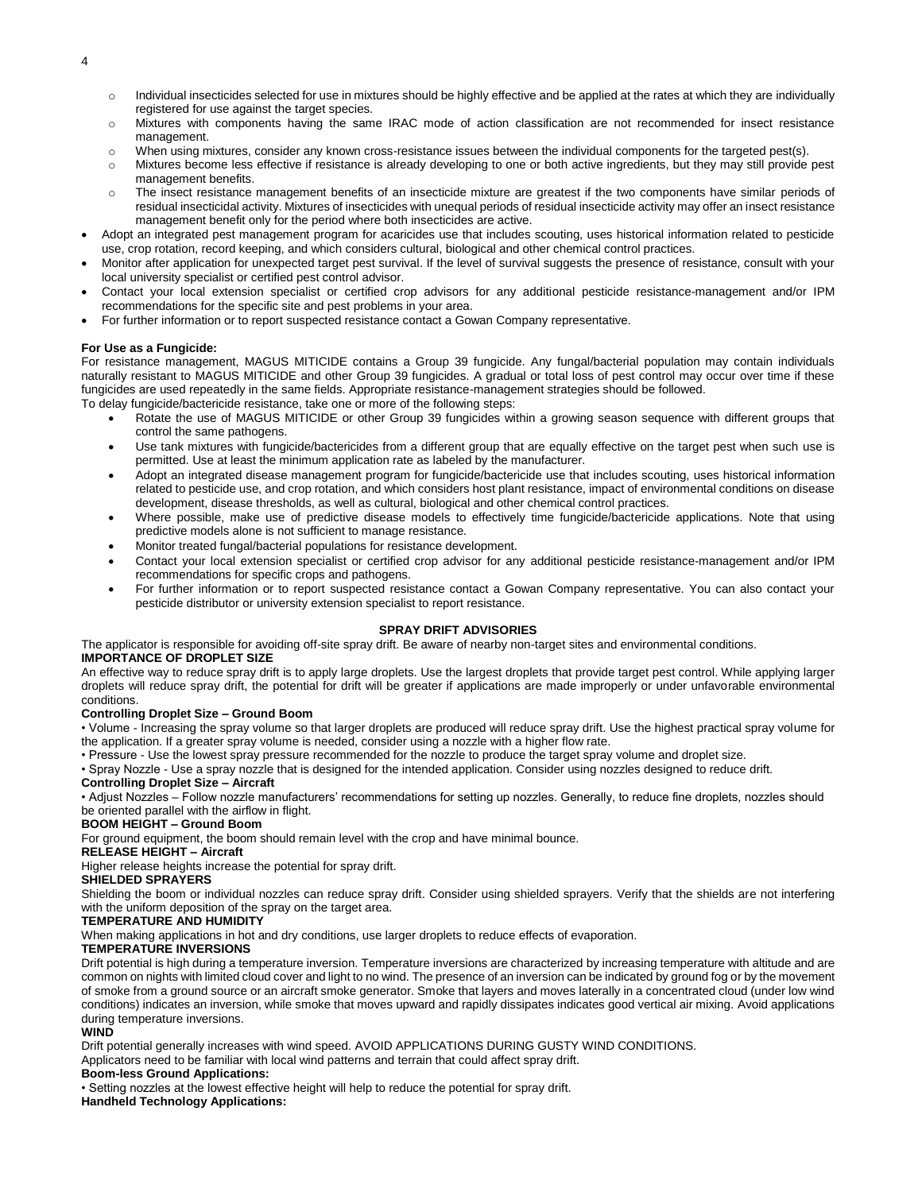- 4
- $\circ$  Individual insecticides selected for use in mixtures should be highly effective and be applied at the rates at which they are individually registered for use against the target species.
- o Mixtures with components having the same IRAC mode of action classification are not recommended for insect resistance management.
- o When using mixtures, consider any known cross-resistance issues between the individual components for the targeted pest(s).
- o Mixtures become less effective if resistance is already developing to one or both active ingredients, but they may still provide pest management benefits.
- o The insect resistance management benefits of an insecticide mixture are greatest if the two components have similar periods of residual insecticidal activity. Mixtures of insecticides with unequal periods of residual insecticide activity may offer an insect resistance management benefit only for the period where both insecticides are active.
- Adopt an integrated pest management program for acaricides use that includes scouting, uses historical information related to pesticide use, crop rotation, record keeping, and which considers cultural, biological and other chemical control practices.
- Monitor after application for unexpected target pest survival. If the level of survival suggests the presence of resistance, consult with your local university specialist or certified pest control advisor.
- Contact your local extension specialist or certified crop advisors for any additional pesticide resistance-management and/or IPM recommendations for the specific site and pest problems in your area.
- For further information or to report suspected resistance contact a Gowan Company representative.

#### **For Use as a Fungicide:**

For resistance management, MAGUS MITICIDE contains a Group 39 fungicide. Any fungal/bacterial population may contain individuals naturally resistant to MAGUS MITICIDE and other Group 39 fungicides. A gradual or total loss of pest control may occur over time if these fungicides are used repeatedly in the same fields. Appropriate resistance-management strategies should be followed.

To delay fungicide/bactericide resistance, take one or more of the following steps:

- Rotate the use of MAGUS MITICIDE or other Group 39 fungicides within a growing season sequence with different groups that control the same pathogens.
- Use tank mixtures with fungicide/bactericides from a different group that are equally effective on the target pest when such use is permitted. Use at least the minimum application rate as labeled by the manufacturer.
- Adopt an integrated disease management program for fungicide/bactericide use that includes scouting, uses historical information related to pesticide use, and crop rotation, and which considers host plant resistance, impact of environmental conditions on disease development, disease thresholds, as well as cultural, biological and other chemical control practices.
- Where possible, make use of predictive disease models to effectively time fungicide/bactericide applications. Note that using predictive models alone is not sufficient to manage resistance.
- Monitor treated fungal/bacterial populations for resistance development.
- Contact your local extension specialist or certified crop advisor for any additional pesticide resistance-management and/or IPM recommendations for specific crops and pathogens.
- For further information or to report suspected resistance contact a Gowan Company representative. You can also contact your pesticide distributor or university extension specialist to report resistance.

#### **SPRAY DRIFT ADVISORIES**

The applicator is responsible for avoiding off-site spray drift. Be aware of nearby non-target sites and environmental conditions. **IMPORTANCE OF DROPLET SIZE** 

An effective way to reduce spray drift is to apply large droplets. Use the largest droplets that provide target pest control. While applying larger droplets will reduce spray drift, the potential for drift will be greater if applications are made improperly or under unfavorable environmental conditions.

#### **Controlling Droplet Size – Ground Boom**

• Volume - Increasing the spray volume so that larger droplets are produced will reduce spray drift. Use the highest practical spray volume for the application. If a greater spray volume is needed, consider using a nozzle with a higher flow rate.

• Pressure - Use the lowest spray pressure recommended for the nozzle to produce the target spray volume and droplet size.

• Spray Nozzle - Use a spray nozzle that is designed for the intended application. Consider using nozzles designed to reduce drift. **Controlling Droplet Size – Aircraft** 

• Adjust Nozzles – Follow nozzle manufacturers' recommendations for setting up nozzles. Generally, to reduce fine droplets, nozzles should be oriented parallel with the airflow in flight.

#### **BOOM HEIGHT – Ground Boom**

For ground equipment, the boom should remain level with the crop and have minimal bounce.

#### **RELEASE HEIGHT – Aircraft**

Higher release heights increase the potential for spray drift.

#### **SHIELDED SPRAYERS**

Shielding the boom or individual nozzles can reduce spray drift. Consider using shielded sprayers. Verify that the shields are not interfering with the uniform deposition of the spray on the target area.

#### **TEMPERATURE AND HUMIDITY**

When making applications in hot and dry conditions, use larger droplets to reduce effects of evaporation.

#### **TEMPERATURE INVERSIONS**

Drift potential is high during a temperature inversion. Temperature inversions are characterized by increasing temperature with altitude and are common on nights with limited cloud cover and light to no wind. The presence of an inversion can be indicated by ground fog or by the movement of smoke from a ground source or an aircraft smoke generator. Smoke that layers and moves laterally in a concentrated cloud (under low wind conditions) indicates an inversion, while smoke that moves upward and rapidly dissipates indicates good vertical air mixing. Avoid applications during temperature inversions.

#### **WIND**

Drift potential generally increases with wind speed. AVOID APPLICATIONS DURING GUSTY WIND CONDITIONS.

Applicators need to be familiar with local wind patterns and terrain that could affect spray drift.

#### **Boom-less Ground Applications:**

• Setting nozzles at the lowest effective height will help to reduce the potential for spray drift.

**Handheld Technology Applications:**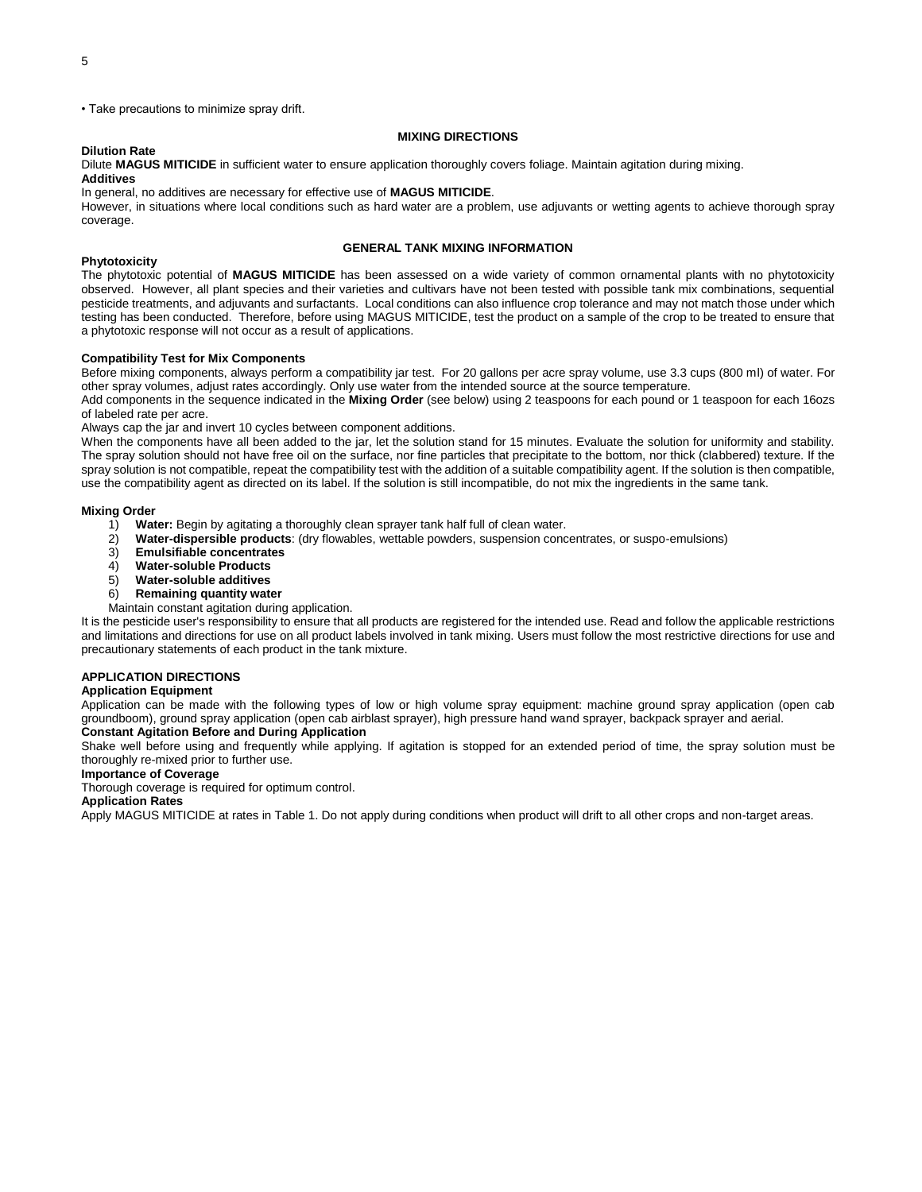• Take precautions to minimize spray drift.

#### **MIXING DIRECTIONS**

### **Dilution Rate**

Dilute **MAGUS MITICIDE** in sufficient water to ensure application thoroughly covers foliage. Maintain agitation during mixing. **Additives**

In general, no additives are necessary for effective use of **MAGUS MITICIDE**.

However, in situations where local conditions such as hard water are a problem, use adjuvants or wetting agents to achieve thorough spray coverage.

#### **GENERAL TANK MIXING INFORMATION**

#### **Phytotoxicity**

The phytotoxic potential of **MAGUS MITICIDE** has been assessed on a wide variety of common ornamental plants with no phytotoxicity observed. However, all plant species and their varieties and cultivars have not been tested with possible tank mix combinations, sequential pesticide treatments, and adjuvants and surfactants. Local conditions can also influence crop tolerance and may not match those under which testing has been conducted. Therefore, before using MAGUS MITICIDE, test the product on a sample of the crop to be treated to ensure that a phytotoxic response will not occur as a result of applications.

#### **Compatibility Test for Mix Components**

Before mixing components, always perform a compatibility jar test. For 20 gallons per acre spray volume, use 3.3 cups (800 ml) of water. For other spray volumes, adjust rates accordingly. Only use water from the intended source at the source temperature.

Add components in the sequence indicated in the **Mixing Order** (see below) using 2 teaspoons for each pound or 1 teaspoon for each 16ozs of labeled rate per acre.

Always cap the jar and invert 10 cycles between component additions.

When the components have all been added to the jar, let the solution stand for 15 minutes. Evaluate the solution for uniformity and stability. The spray solution should not have free oil on the surface, nor fine particles that precipitate to the bottom, nor thick (clabbered) texture. If the spray solution is not compatible, repeat the compatibility test with the addition of a suitable compatibility agent. If the solution is then compatible, use the compatibility agent as directed on its label. If the solution is still incompatible, do not mix the ingredients in the same tank.

#### **Mixing Order**

- 1) **Water:** Begin by agitating a thoroughly clean sprayer tank half full of clean water.
- 2) **Water-dispersible products**: (dry flowables, wettable powders, suspension concentrates, or suspo-emulsions)
- 3) **Emulsifiable concentrates**
- 4) **Water-soluble Products**
- 5) **Water-soluble additives**
- 6) **Remaining quantity water**
- Maintain constant agitation during application.

It is the pesticide user's responsibility to ensure that all products are registered for the intended use. Read and follow the applicable restrictions and limitations and directions for use on all product labels involved in tank mixing. Users must follow the most restrictive directions for use and precautionary statements of each product in the tank mixture.

#### **APPLICATION DIRECTIONS**

#### **Application Equipment**

Application can be made with the following types of low or high volume spray equipment: machine ground spray application (open cab groundboom), ground spray application (open cab airblast sprayer), high pressure hand wand sprayer, backpack sprayer and aerial.

## **Constant Agitation Before and During Application**

Shake well before using and frequently while applying. If agitation is stopped for an extended period of time, the spray solution must be thoroughly re-mixed prior to further use.

#### **Importance of Coverage**

Thorough coverage is required for optimum control.

#### **Application Rates**

Apply MAGUS MITICIDE at rates in Table 1. Do not apply during conditions when product will drift to all other crops and non-target areas.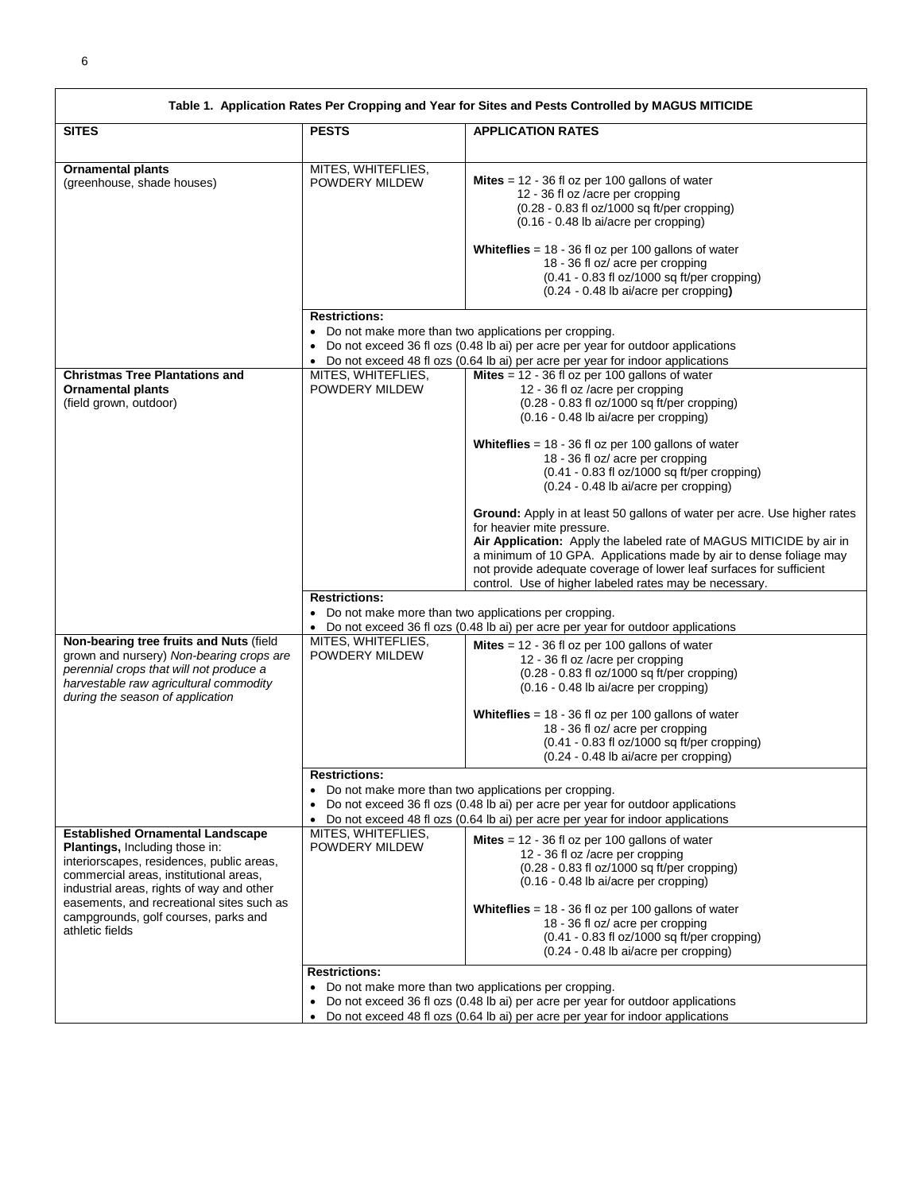|                                                                                                                                                                                                                                                                                                                              |                                      | Table 1. Application Rates Per Cropping and Year for Sites and Pests Controlled by MAGUS MITICIDE                                                                                                                                                                                                                                                                                                                                                 |
|------------------------------------------------------------------------------------------------------------------------------------------------------------------------------------------------------------------------------------------------------------------------------------------------------------------------------|--------------------------------------|---------------------------------------------------------------------------------------------------------------------------------------------------------------------------------------------------------------------------------------------------------------------------------------------------------------------------------------------------------------------------------------------------------------------------------------------------|
| <b>SITES</b>                                                                                                                                                                                                                                                                                                                 | <b>PESTS</b>                         | <b>APPLICATION RATES</b>                                                                                                                                                                                                                                                                                                                                                                                                                          |
| <b>Ornamental plants</b><br>(greenhouse, shade houses)                                                                                                                                                                                                                                                                       | MITES, WHITEFLIES,<br>POWDERY MILDEW | <b>Mites</b> = $12 - 36$ fl oz per 100 gallons of water<br>12 - 36 fl oz /acre per cropping<br>(0.28 - 0.83 fl oz/1000 sq ft/per cropping)<br>(0.16 - 0.48 lb ai/acre per cropping)<br>Whiteflies = $18 - 36$ fl oz per 100 gallons of water<br>18 - 36 fl oz/ acre per cropping<br>$(0.41 - 0.83$ fl oz/1000 sq ft/per cropping)<br>(0.24 - 0.48 lb ai/acre per cropping)                                                                        |
|                                                                                                                                                                                                                                                                                                                              | <b>Restrictions:</b>                 | • Do not make more than two applications per cropping.<br>Do not exceed 36 fl ozs (0.48 lb ai) per acre per year for outdoor applications<br>• Do not exceed 48 fl ozs (0.64 lb ai) per acre per year for indoor applications                                                                                                                                                                                                                     |
| <b>Christmas Tree Plantations and</b><br><b>Ornamental plants</b><br>(field grown, outdoor)                                                                                                                                                                                                                                  | MITES, WHITEFLIES,<br>POWDERY MILDEW | Mites = $12 - 36$ fl oz per 100 gallons of water<br>12 - 36 fl oz /acre per cropping<br>$(0.28 - 0.83$ fl oz/1000 sq ft/per cropping)<br>(0.16 - 0.48 lb ai/acre per cropping)<br>Whiteflies = $18 - 36$ fl oz per 100 gallons of water<br>18 - 36 fl oz/ acre per cropping<br>(0.41 - 0.83 fl oz/1000 sq ft/per cropping)<br>$(0.24 - 0.48$ lb ai/acre per cropping)<br>Ground: Apply in at least 50 gallons of water per acre. Use higher rates |
|                                                                                                                                                                                                                                                                                                                              | <b>Restrictions:</b>                 | for heavier mite pressure.<br>Air Application: Apply the labeled rate of MAGUS MITICIDE by air in<br>a minimum of 10 GPA. Applications made by air to dense foliage may<br>not provide adequate coverage of lower leaf surfaces for sufficient<br>control. Use of higher labeled rates may be necessary.                                                                                                                                          |
|                                                                                                                                                                                                                                                                                                                              |                                      | • Do not make more than two applications per cropping.<br>• Do not exceed 36 fl ozs (0.48 lb ai) per acre per year for outdoor applications                                                                                                                                                                                                                                                                                                       |
| Non-bearing tree fruits and Nuts (field<br>grown and nursery) Non-bearing crops are<br>perennial crops that will not produce a<br>harvestable raw agricultural commodity<br>during the season of application                                                                                                                 | MITES, WHITEFLIES,<br>POWDERY MILDEW | <b>Mites</b> = $12 - 36$ fl oz per 100 gallons of water<br>12 - 36 fl oz /acre per cropping<br>$(0.28 - 0.83$ fl oz/1000 sq ft/per cropping)<br>(0.16 - 0.48 lb ai/acre per cropping)<br>Whiteflies = $18 - 36$ fl oz per 100 gallons of water<br>18 - 36 fl oz/ acre per cropping<br>$(0.41 - 0.83$ fl oz/1000 sq ft/per cropping)<br>(0.24 - 0.48 lb ai/acre per cropping)                                                                      |
|                                                                                                                                                                                                                                                                                                                              | <b>Restrictions:</b>                 | • Do not make more than two applications per cropping.<br>Do not exceed 36 fl ozs (0.48 lb ai) per acre per year for outdoor applications<br>• Do not exceed 48 fl ozs (0.64 lb ai) per acre per year for indoor applications                                                                                                                                                                                                                     |
| <b>Established Ornamental Landscape</b><br><b>Plantings, Including those in:</b><br>interiorscapes, residences, public areas,<br>commercial areas, institutional areas,<br>industrial areas, rights of way and other<br>easements, and recreational sites such as<br>campgrounds, golf courses, parks and<br>athletic fields | MITES, WHITEFLIES,<br>POWDERY MILDEW | <b>Mites</b> = $12 - 36$ fl oz per 100 gallons of water<br>12 - 36 fl oz /acre per cropping<br>$(0.28 - 0.83$ fl oz/1000 sq ft/per cropping)<br>(0.16 - 0.48 lb ai/acre per cropping)<br><b>Whiteflies</b> = $18 - 36$ fl oz per 100 gallons of water<br>18 - 36 fl oz/ acre per cropping<br>$(0.41 - 0.83$ fl oz/1000 sq ft/per cropping)<br>$(0.24 - 0.48$ lb ai/acre per cropping)                                                             |
|                                                                                                                                                                                                                                                                                                                              | <b>Restrictions:</b><br>$\bullet$    | Do not make more than two applications per cropping.<br>Do not exceed 36 fl ozs (0.48 lb ai) per acre per year for outdoor applications<br>• Do not exceed 48 fl ozs (0.64 lb ai) per acre per year for indoor applications                                                                                                                                                                                                                       |